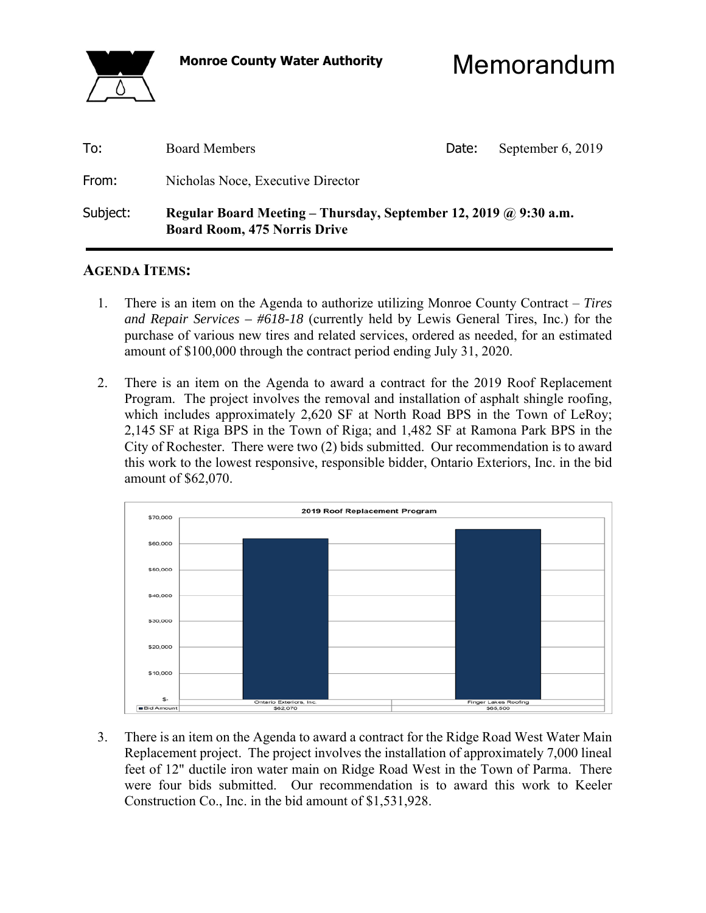

**Monroe County Water Authority** Memorandum

| To:      | <b>Board Members</b>                                                                                    | Date: | September 6, 2019 |
|----------|---------------------------------------------------------------------------------------------------------|-------|-------------------|
| From:    | Nicholas Noce, Executive Director                                                                       |       |                   |
| Subject: | Regular Board Meeting – Thursday, September 12, 2019 @ 9:30 a.m.<br><b>Board Room, 475 Norris Drive</b> |       |                   |

#### **AGENDA ITEMS:**

- 1. There is an item on the Agenda to authorize utilizing Monroe County Contract *Tires and Repair Services – #618-18* (currently held by Lewis General Tires, Inc.) for the purchase of various new tires and related services, ordered as needed, for an estimated amount of \$100,000 through the contract period ending July 31, 2020.
- 2. There is an item on the Agenda to award a contract for the 2019 Roof Replacement Program. The project involves the removal and installation of asphalt shingle roofing, which includes approximately 2,620 SF at North Road BPS in the Town of LeRoy; 2,145 SF at Riga BPS in the Town of Riga; and 1,482 SF at Ramona Park BPS in the City of Rochester. There were two (2) bids submitted. Our recommendation is to award this work to the lowest responsive, responsible bidder, Ontario Exteriors, Inc. in the bid amount of \$62,070.



 3. There is an item on the Agenda to award a contract for the Ridge Road West Water Main Replacement project. The project involves the installation of approximately 7,000 lineal feet of 12" ductile iron water main on Ridge Road West in the Town of Parma. There were four bids submitted. Our recommendation is to award this work to Keeler Construction Co., Inc. in the bid amount of \$1,531,928.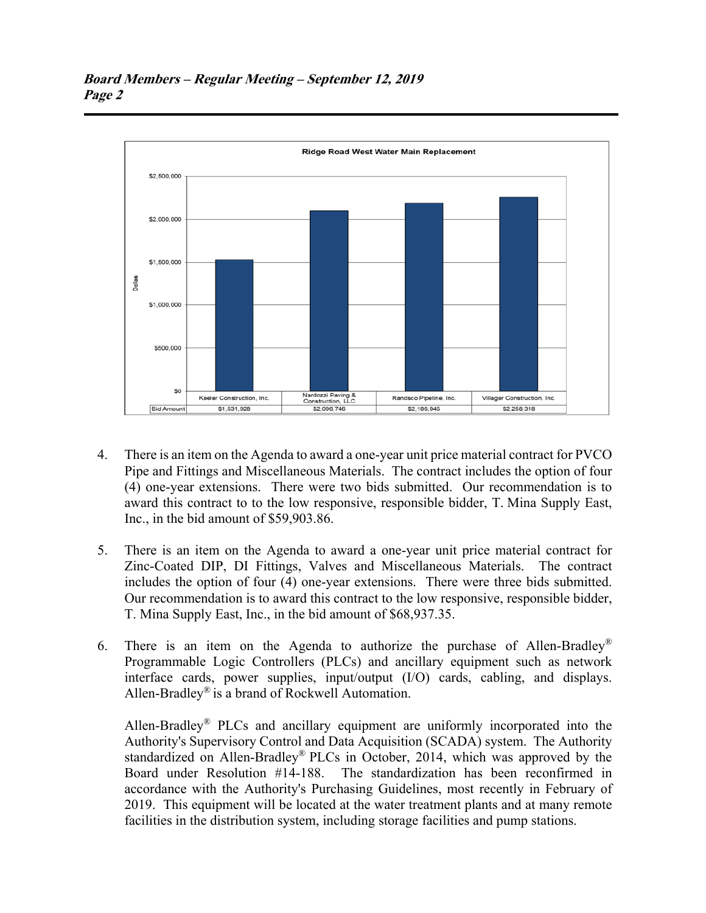

- 4. There is an item on the Agenda to award a one-year unit price material contract for PVCO Pipe and Fittings and Miscellaneous Materials. The contract includes the option of four (4) one-year extensions. There were two bids submitted. Our recommendation is to award this contract to to the low responsive, responsible bidder, T. Mina Supply East, Inc., in the bid amount of \$59,903.86.
- 5. There is an item on the Agenda to award a one-year unit price material contract for Zinc-Coated DIP, DI Fittings, Valves and Miscellaneous Materials. The contract includes the option of four (4) one-year extensions. There were three bids submitted. Our recommendation is to award this contract to the low responsive, responsible bidder, T. Mina Supply East, Inc., in the bid amount of \$68,937.35.
- 6. There is an item on the Agenda to authorize the purchase of Allen-Bradley® Programmable Logic Controllers (PLCs) and ancillary equipment such as network interface cards, power supplies, input/output (I/O) cards, cabling, and displays. Allen-Bradley® is a brand of Rockwell Automation.

 Allen-Bradley® PLCs and ancillary equipment are uniformly incorporated into the Authority's Supervisory Control and Data Acquisition (SCADA) system. The Authority standardized on Allen-Bradley® PLCs in October, 2014, which was approved by the Board under Resolution #14-188. The standardization has been reconfirmed in accordance with the Authority's Purchasing Guidelines, most recently in February of 2019. This equipment will be located at the water treatment plants and at many remote facilities in the distribution system, including storage facilities and pump stations.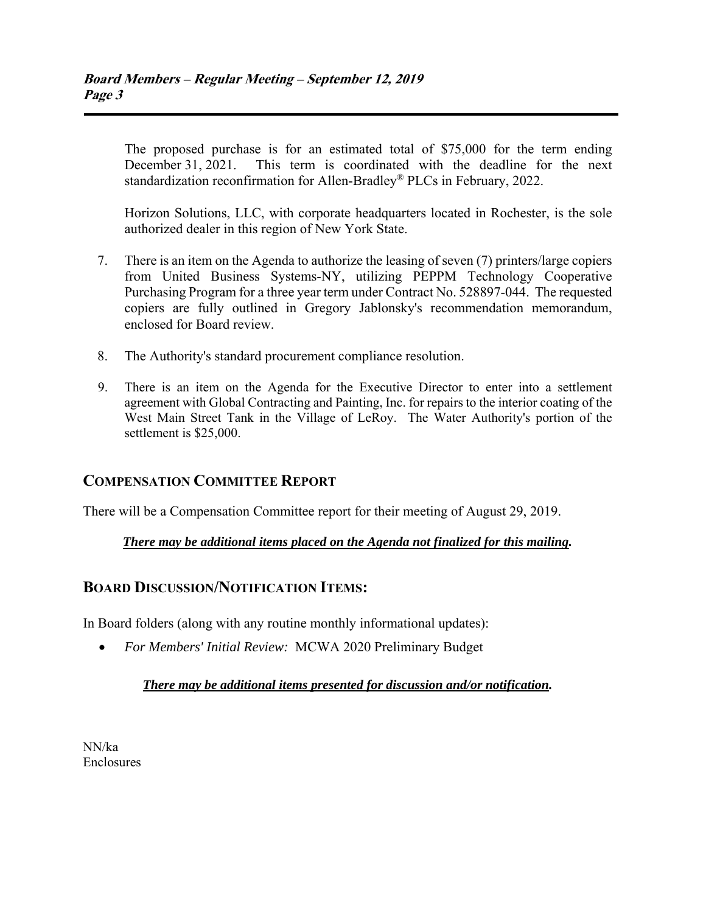The proposed purchase is for an estimated total of \$75,000 for the term ending December 31, 2021. This term is coordinated with the deadline for the next standardization reconfirmation for Allen-Bradley® PLCs in February, 2022.

 Horizon Solutions, LLC, with corporate headquarters located in Rochester, is the sole authorized dealer in this region of New York State.

- 7. There is an item on the Agenda to authorize the leasing of seven (7) printers/large copiers from United Business Systems-NY, utilizing PEPPM Technology Cooperative Purchasing Program for a three year term under Contract No. 528897-044. The requested copiers are fully outlined in Gregory Jablonsky's recommendation memorandum, enclosed for Board review.
- 8. The Authority's standard procurement compliance resolution.
- 9. There is an item on the Agenda for the Executive Director to enter into a settlement agreement with Global Contracting and Painting, Inc. for repairs to the interior coating of the West Main Street Tank in the Village of LeRoy. The Water Authority's portion of the settlement is \$25,000.

## **COMPENSATION COMMITTEE REPORT**

There will be a Compensation Committee report for their meeting of August 29, 2019.

#### *There may be additional items placed on the Agenda not finalized for this mailing.*

## **BOARD DISCUSSION/NOTIFICATION ITEMS:**

In Board folders (along with any routine monthly informational updates):

*For Members' Initial Review:* MCWA 2020 Preliminary Budget

#### *There may be additional items presented for discussion and/or notification.*

NN/ka Enclosures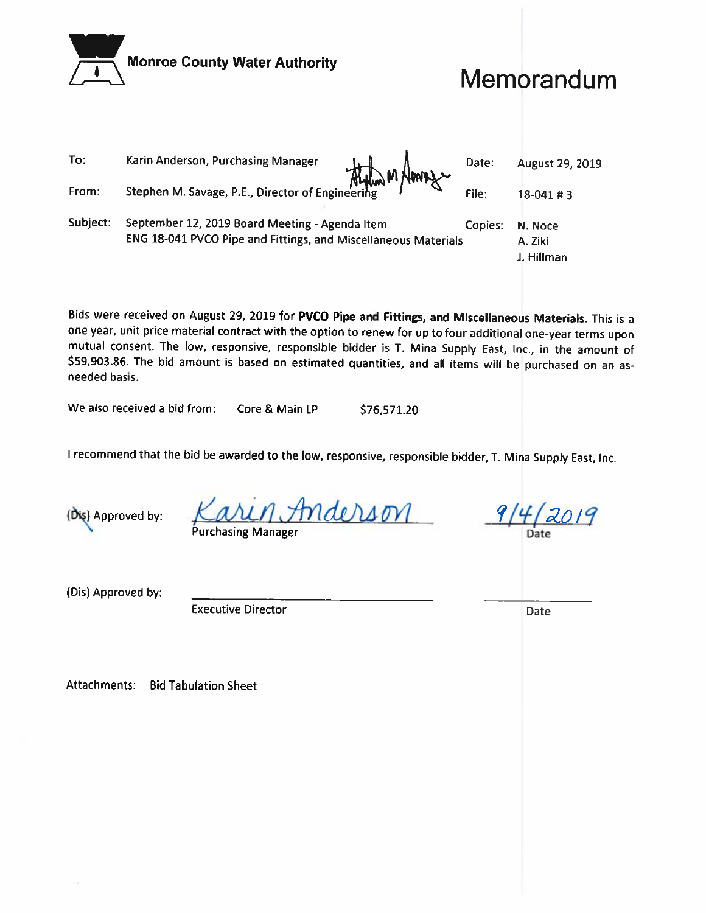|          | <b>Monroe County Water Authority</b>                                                                             |         | Memorandum                       |
|----------|------------------------------------------------------------------------------------------------------------------|---------|----------------------------------|
| To:      | Karin Anderson, Purchasing Manager<br>Althon M News                                                              | Date:   | August 29, 2019                  |
| From:    | Stephen M. Savage, P.E., Director of Engineering                                                                 | File:   | $18-041 \# 3$                    |
| Subject: | September 12, 2019 Board Meeting - Agenda Item<br>ENG 18-041 PVCO Pipe and Fittings, and Miscellaneous Materials | Copies: | N. Noce<br>A. Ziki<br>J. Hillman |

Bids were received on August 29, 2019 for PVCO Pipe and Fittings, and Miscellaneous Materials. This is a one year, unit price material contract with the option to renew for up to four additional one-year terms upon mutual consent. The low, responsive, responsible bidder is T. Mina Supply East, Inc., in the amount of \$59,903.86. The bid amount is based on estimated quantities, and all items will be purchased on an asneeded basis.

We also received a bid from: Core & Main LP \$76,571.20

I recommend that the bid be awarded to the low, responsive, responsible bidder, T. Mina Supply East, Inc.

(Dis) Approved by:

(Dis) Approved by:

**Executive Director** 

**Attachments: Bid Tabulation Sheet** 

nderson **urchasing Manager** 

Date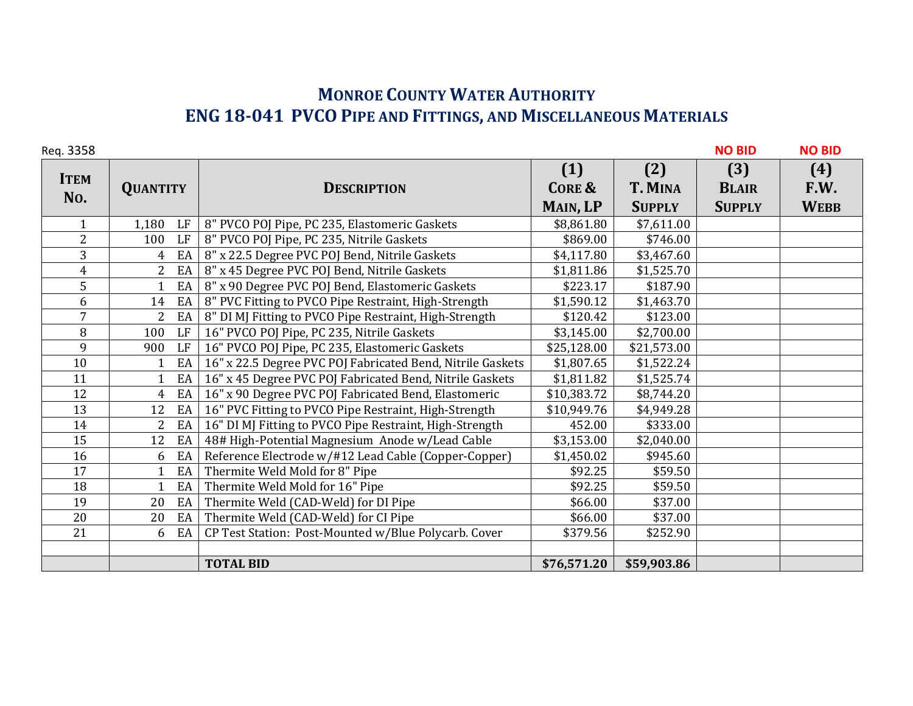# **MONROE COUNTY WATER AUTHORITY ENG 18‐041 PVCO PIPE AND FITTINGS, AND MISCELLANEOUS MATERIALS**

| Req. 3358          |                      |                                                            |                          |                       | <b>NO BID</b>       | <b>NO BID</b> |
|--------------------|----------------------|------------------------------------------------------------|--------------------------|-----------------------|---------------------|---------------|
| <b>ITEM</b><br>No. | <b>QUANTITY</b>      | <b>DESCRIPTION</b>                                         | (1)<br><b>CORE &amp;</b> | (2)<br><b>T. MINA</b> | (3)<br><b>BLAIR</b> | (4)<br>F.W.   |
|                    |                      |                                                            | MAIN, LP                 | <b>SUPPLY</b>         | <b>SUPPLY</b>       | <b>WEBB</b>   |
| $\mathbf{1}$       | 1,180<br>LF          | 8" PVCO POJ Pipe, PC 235, Elastomeric Gaskets              | \$8,861.80               | \$7,611.00            |                     |               |
| $\overline{2}$     | LF<br>100            | 8" PVCO POJ Pipe, PC 235, Nitrile Gaskets                  | \$869.00                 | \$746.00              |                     |               |
| 3                  | EA<br>$\overline{4}$ | 8" x 22.5 Degree PVC POJ Bend, Nitrile Gaskets             | \$4,117.80               | \$3,467.60            |                     |               |
| $\overline{4}$     | $2^{\circ}$<br>EA    | 8" x 45 Degree PVC POJ Bend, Nitrile Gaskets               | \$1,811.86               | \$1,525.70            |                     |               |
| 5                  | EA                   | 8" x 90 Degree PVC POJ Bend, Elastomeric Gaskets           | \$223.17                 | \$187.90              |                     |               |
| 6                  | EA<br>14             | 8" PVC Fitting to PVCO Pipe Restraint, High-Strength       | \$1,590.12               | \$1,463.70            |                     |               |
| $\overline{7}$     | $2^{\circ}$<br>EA    | 8" DI MJ Fitting to PVCO Pipe Restraint, High-Strength     | \$120.42                 | \$123.00              |                     |               |
| 8                  | LF<br>100            | 16" PVCO POJ Pipe, PC 235, Nitrile Gaskets                 | \$3,145.00               | \$2,700.00            |                     |               |
| 9                  | LF<br>900            | 16" PVCO POJ Pipe, PC 235, Elastomeric Gaskets             | \$25,128.00              | \$21,573.00           |                     |               |
| 10                 | EA                   | 16" x 22.5 Degree PVC POJ Fabricated Bend, Nitrile Gaskets | \$1,807.65               | \$1,522.24            |                     |               |
| 11                 | EA                   | 16" x 45 Degree PVC POJ Fabricated Bend, Nitrile Gaskets   | \$1,811.82               | \$1,525.74            |                     |               |
| 12                 | EA<br>$\overline{4}$ | 16" x 90 Degree PVC POJ Fabricated Bend, Elastomeric       | \$10,383.72              | \$8,744.20            |                     |               |
| 13                 | 12<br>EA             | 16" PVC Fitting to PVCO Pipe Restraint, High-Strength      | \$10,949.76              | \$4,949.28            |                     |               |
| 14                 | EA<br>$\overline{2}$ | 16" DI MJ Fitting to PVCO Pipe Restraint, High-Strength    | 452.00                   | \$333.00              |                     |               |
| 15                 | EA<br>12             | 48# High-Potential Magnesium Anode w/Lead Cable            | \$3,153.00               | \$2,040.00            |                     |               |
| 16                 | EA<br>6              | Reference Electrode w/#12 Lead Cable (Copper-Copper)       | \$1,450.02               | \$945.60              |                     |               |
| 17                 | EA                   | Thermite Weld Mold for 8" Pipe                             | \$92.25                  | \$59.50               |                     |               |
| 18                 | EA                   | Thermite Weld Mold for 16" Pipe                            | \$92.25                  | \$59.50               |                     |               |
| 19                 | EA<br>20             | Thermite Weld (CAD-Weld) for DI Pipe                       | \$66.00                  | \$37.00               |                     |               |
| 20                 | 20<br>EA             | Thermite Weld (CAD-Weld) for CI Pipe                       | \$66.00                  | \$37.00               |                     |               |
| 21                 | EA<br>6              | CP Test Station: Post-Mounted w/Blue Polycarb. Cover       | \$379.56                 | \$252.90              |                     |               |
|                    |                      |                                                            |                          |                       |                     |               |
|                    |                      | <b>TOTAL BID</b>                                           | \$76,571.20              | \$59,903.86           |                     |               |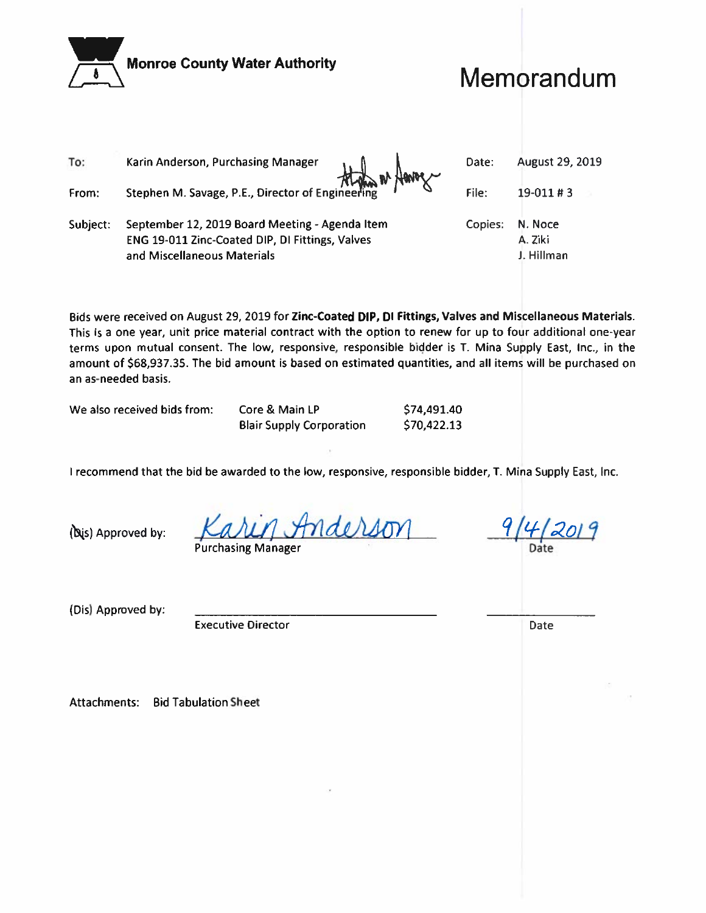| <b>Monroe County Water Authority</b> |                                                                                                                                  |         | Memorandum                       |  |  |
|--------------------------------------|----------------------------------------------------------------------------------------------------------------------------------|---------|----------------------------------|--|--|
| To:                                  | Karin Anderson, Purchasing Manager                                                                                               | Date:   | August 29, 2019                  |  |  |
| From:                                | than a flavog<br>Stephen M. Savage, P.E., Director of Engineering                                                                | File:   | 19-011#3                         |  |  |
| Subject:                             | September 12, 2019 Board Meeting - Agenda Item<br>ENG 19-011 Zinc-Coated DIP, DI Fittings, Valves<br>and Miscellaneous Materials | Copies: | N. Noce<br>A. Ziki<br>J. Hillman |  |  |

Bids were received on August 29, 2019 for Zinc-Coated DIP, DI Fittings, Valves and Miscellaneous Materials. This is a one year, unit price material contract with the option to renew for up to four additional one-year terms upon mutual consent. The low, responsive, responsible bidder is T. Mina Supply East, Inc., in the amount of \$68,937.35. The bid amount is based on estimated quantities, and all items will be purchased on an as-needed basis.

We also received bids from:

Core & Main LP **Blair Supply Corporation**  \$74,491.40 \$70,422.13

I recommend that the bid be awarded to the low, responsive, responsible bidder, T. Mina Supply East, Inc.

(bis) Approved by:

Anderson **Purchasing Manager** 

9/4/2019

**Date** 

(Dis) Approved by:

**Executive Director** 

**Attachments: Bid Tabulation Sheet**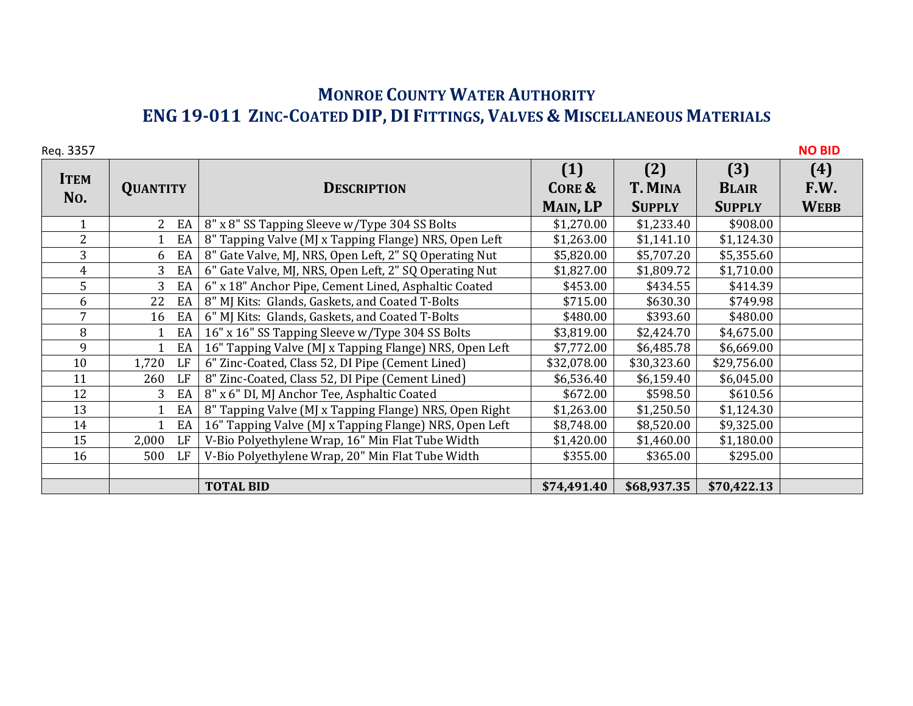## **MONROE COUNTY WATER AUTHORITY ENG 19‐011 ZINC‐COATED DIP, DI FITTINGS, VALVES & MISCELLANEOUS MATERIALS**

| Req. 3357      |                      |                                                        |                   |               |               | <b>NO BID</b> |
|----------------|----------------------|--------------------------------------------------------|-------------------|---------------|---------------|---------------|
| <b>ITEM</b>    |                      |                                                        | (1)               | (2)           | (3)           | (4)           |
| No.            | <b>QUANTITY</b>      | <b>DESCRIPTION</b>                                     | <b>CORE &amp;</b> | T. MINA       | <b>BLAIR</b>  | F.W.          |
|                |                      |                                                        | MAIN, LP          | <b>SUPPLY</b> | <b>SUPPLY</b> | <b>WEBB</b>   |
|                | $\overline{2}$<br>EA | 8" x 8" SS Tapping Sleeve w/Type 304 SS Bolts          | \$1,270.00        | \$1,233.40    | \$908.00      |               |
| $\overline{2}$ | EA                   | 8" Tapping Valve (MJ x Tapping Flange) NRS, Open Left  | \$1,263.00        | \$1,141.10    | \$1,124.30    |               |
| 3              | EA<br>6              | 8" Gate Valve, MJ, NRS, Open Left, 2" SQ Operating Nut | \$5,820.00        | \$5,707.20    | \$5,355.60    |               |
| $\overline{4}$ | EA<br>$\overline{3}$ | 6" Gate Valve, MJ, NRS, Open Left, 2" SQ Operating Nut | \$1,827.00        | \$1,809.72    | \$1,710.00    |               |
| 5              | 3<br>EA              | 6" x 18" Anchor Pipe, Cement Lined, Asphaltic Coated   | \$453.00          | \$434.55      | \$414.39      |               |
| 6              | 22<br>EA             | 8" MJ Kits: Glands, Gaskets, and Coated T-Bolts        | \$715.00          | \$630.30      | \$749.98      |               |
| $\overline{7}$ | EA<br>16             | 6" MJ Kits: Glands, Gaskets, and Coated T-Bolts        | \$480.00          | \$393.60      | \$480.00      |               |
| 8              | EA<br>$\mathbf{1}$   | 16" x 16" SS Tapping Sleeve w/Type 304 SS Bolts        | \$3,819.00        | \$2,424.70    | \$4,675.00    |               |
| 9              | EA                   | 16" Tapping Valve (MJ x Tapping Flange) NRS, Open Left | \$7,772.00        | \$6,485.78    | \$6,669.00    |               |
| 10             | LF<br>1,720          | 6" Zinc-Coated, Class 52, DI Pipe (Cement Lined)       | \$32,078.00       | \$30,323.60   | \$29,756.00   |               |
| 11             | LF<br>260            | 8" Zinc-Coated, Class 52, DI Pipe (Cement Lined)       | \$6,536.40        | \$6,159.40    | \$6,045.00    |               |
| 12             | EA<br>3              | 8" x 6" DI, MJ Anchor Tee, Asphaltic Coated            | \$672.00          | \$598.50      | \$610.56      |               |
| 13             | EA<br>$\mathbf{1}$   | 8" Tapping Valve (MJ x Tapping Flange) NRS, Open Right | \$1,263.00        | \$1,250.50    | \$1,124.30    |               |
| 14             | EA                   | 16" Tapping Valve (MJ x Tapping Flange) NRS, Open Left | \$8,748.00        | \$8,520.00    | \$9,325.00    |               |
| 15             | 2,000<br>LF          | V-Bio Polyethylene Wrap, 16" Min Flat Tube Width       | \$1,420.00        | \$1,460.00    | \$1,180.00    |               |
| 16             | LF<br>500            | V-Bio Polyethylene Wrap, 20" Min Flat Tube Width       | \$355.00          | \$365.00      | \$295.00      |               |
|                |                      |                                                        |                   |               |               |               |
|                |                      | <b>TOTAL BID</b>                                       | \$74,491.40       | \$68,937.35   | \$70,422.13   |               |